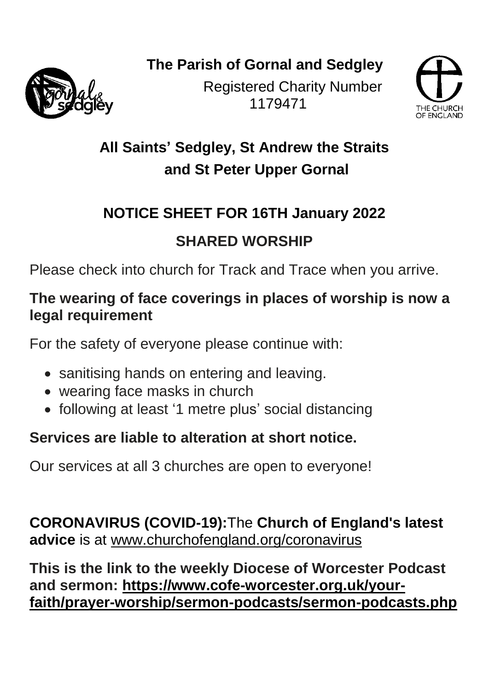**The Parish of Gornal and Sedgley**



Registered Charity Number 1179471



**All Saints' Sedgley, St Andrew the Straits and St Peter Upper Gornal**

### **NOTICE SHEET FOR 16TH January 2022**

### **SHARED WORSHIP**

Please check into church for Track and Trace when you arrive.

#### **The wearing of face coverings in places of worship is now a legal requirement**

For the safety of everyone please continue with:

- sanitising hands on entering and leaving.
- wearing face masks in church
- following at least '1 metre plus' social distancing

### **Services are liable to alteration at short notice.**

Our services at all 3 churches are open to everyone!

**CORONAVIRUS (COVID-19):**The **Church of England's latest advice** is at [www.churchofengland.org/coronavirus](https://cofe-worcester.us4.list-manage.com/track/click?u=f1418a979753a3f276c9eebe2&id=6b521d4ce6&e=692c4b32ff)

**This is the link to the weekly Diocese of Worcester Podcast and sermon: [https://www.cofe-worcester.org.uk/your](https://www.cofe-worcester.org.uk/your-faith/prayer-worship/sermon-podcasts/sermon-podcasts.php)[faith/prayer-worship/sermon-podcasts/sermon-podcasts.php](https://www.cofe-worcester.org.uk/your-faith/prayer-worship/sermon-podcasts/sermon-podcasts.php)**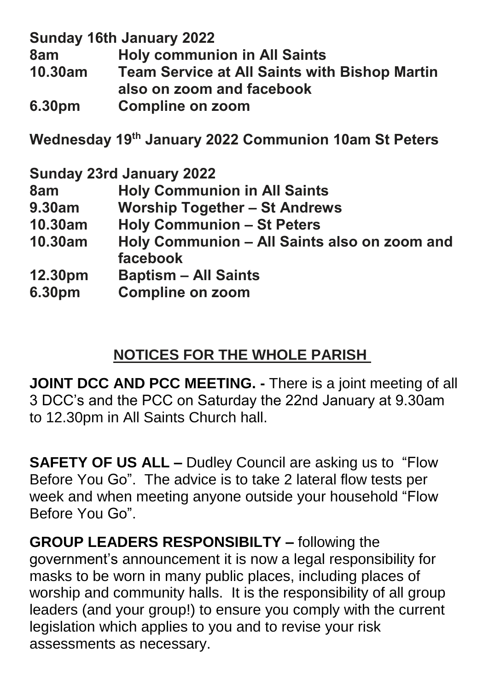**Sunday 16th January 2022**

**8am Holy communion in All Saints**

**10.30am Team Service at All Saints with Bishop Martin also on zoom and facebook**

**6.30pm Compline on zoom**

**Wednesday 19 th January 2022 Communion 10am St Peters**

**Sunday 23rd January 2022**

- **8am Holy Communion in All Saints**
- **9.30am Worship Together – St Andrews**
- **10.30am Holy Communion – St Peters**
- **10.30am Holy Communion – All Saints also on zoom and facebook**
- **12.30pm Baptism – All Saints**
- **6.30pm Compline on zoom**

# **NOTICES FOR THE WHOLE PARISH**

**JOINT DCC AND PCC MEETING. -** There is a joint meeting of all 3 DCC's and the PCC on Saturday the 22nd January at 9.30am to 12.30pm in All Saints Church hall.

**SAFETY OF US ALL –** Dudley Council are asking us to "Flow Before You Go". The advice is to take 2 lateral flow tests per week and when meeting anyone outside your household "Flow Before You Go".

**GROUP LEADERS RESPONSIBILTY –** following the government's announcement it is now a legal responsibility for masks to be worn in many public places, including places of worship and community halls. It is the responsibility of all group leaders (and your group!) to ensure you comply with the current legislation which applies to you and to revise your risk assessments as necessary.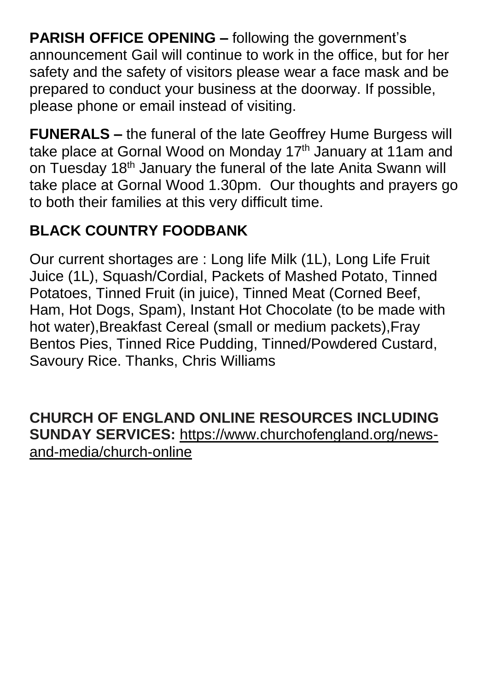**PARISH OFFICE OPENING –** following the government's announcement Gail will continue to work in the office, but for her safety and the safety of visitors please wear a face mask and be prepared to conduct your business at the doorway. If possible, please phone or email instead of visiting.

**FUNERALS –** the funeral of the late Geoffrey Hume Burgess will take place at Gornal Wood on Monday 17<sup>th</sup> January at 11am and on Tuesday 18<sup>th</sup> January the funeral of the late Anita Swann will take place at Gornal Wood 1.30pm. Our thoughts and prayers go to both their families at this very difficult time.

# **BLACK COUNTRY FOODBANK**

Our current shortages are : Long life Milk (1L), Long Life Fruit Juice (1L), Squash/Cordial, Packets of Mashed Potato, Tinned Potatoes, Tinned Fruit (in juice), Tinned Meat (Corned Beef, Ham, Hot Dogs, Spam), Instant Hot Chocolate (to be made with hot water),Breakfast Cereal (small or medium packets),Fray Bentos Pies, Tinned Rice Pudding, Tinned/Powdered Custard, Savoury Rice. Thanks, Chris Williams

**CHURCH OF ENGLAND ONLINE RESOURCES INCLUDING SUNDAY SERVICES:** [https://www.churchofengland.org/news](https://www.churchofengland.org/news-and-media/church-online)[and-media/church-online](https://www.churchofengland.org/news-and-media/church-online)